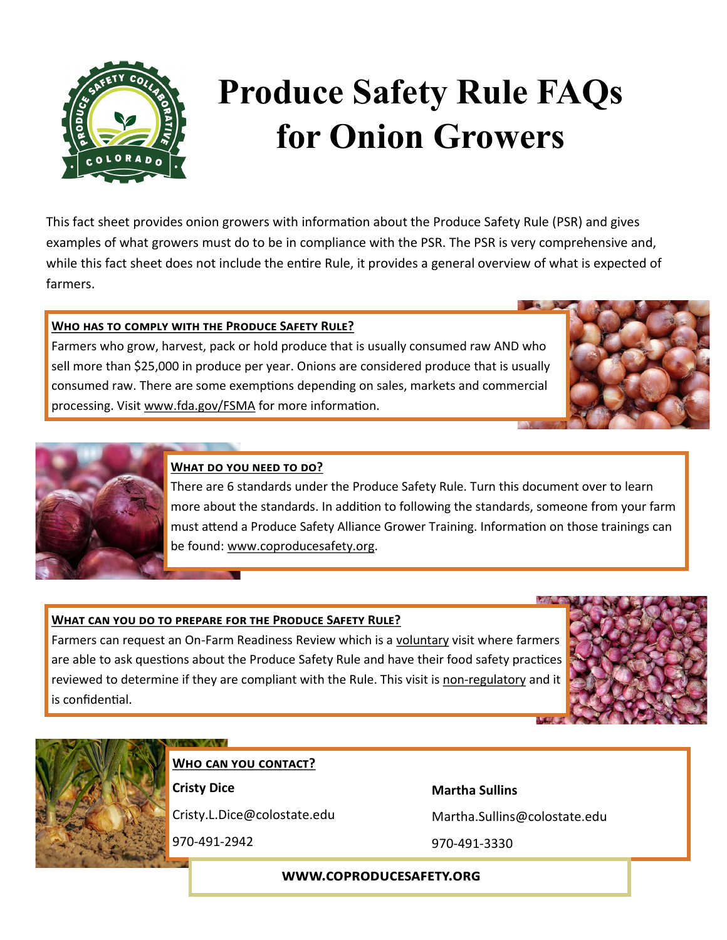

# **Produce Safety Rule FAQs for Onion Growers**

This fact sheet provides onion growers with information about the Produce Safety Rule (PSR) and gives examples of what growers must do to be in compliance with the PSR. The PSR is very comprehensive and, while this fact sheet does not include the entire Rule, it provides a general overview of what is expected of farmers.

### **Who has to comply with the Produce Safety Rule?**

Farmers who grow, harvest, pack or hold produce that is usually consumed raw AND who sell more than \$25,000 in produce per year. Onions are considered produce that is usually consumed raw. There are some exemptions depending on sales, markets and commercial processing. Visit [www.fda.gov/FSMA](http://www.fda.gov/FSMA) for more information.





### **What do you need to do?**

There are 6 standards under the Produce Safety Rule. Turn this document over to learn more about the standards. In addition to following the standards, someone from your farm must attend a Produce Safety Alliance Grower Training. Information on those trainings can be found: [www.coproducesafety.org.](http://www.coproducesafety.org)

## **What can you do to prepare for the Produce Safety Rule?**

Farmers can request an On-Farm Readiness Review which is a voluntary visit where farmers are able to ask questions about the Produce Safety Rule and have their food safety practices reviewed to determine if they are compliant with the Rule. This visit is non-regulatory and it is confidential.





**Who can you contact?**

**Cristy Dice**

*DE NAVARE* 

Cristy.L.Dice@colostate.edu

970-491-2942

### **Martha Sullins**

Martha.Sullins@colostate.edu

970-491-3330

 **www.coproducesafety.org**